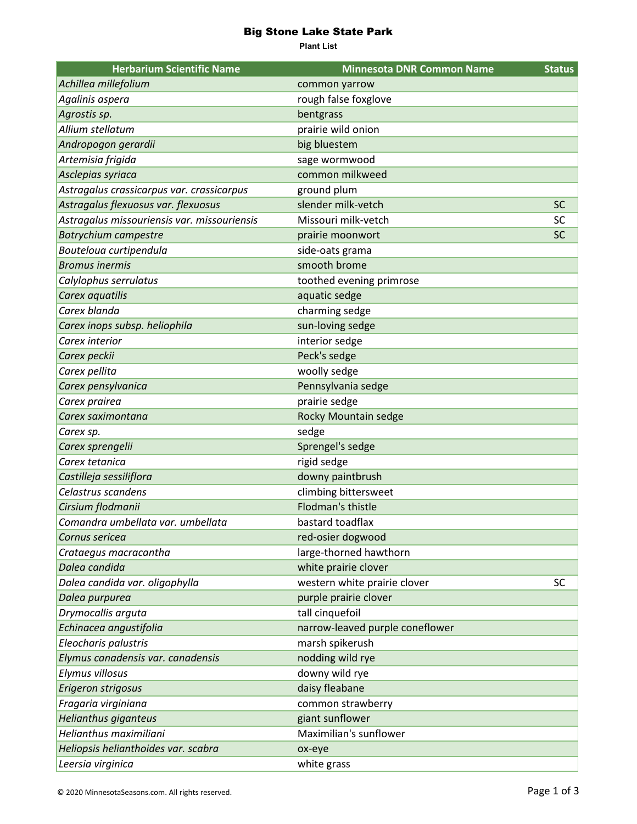## Big Stone Lake State Park

**Plant List**

| <b>Herbarium Scientific Name</b>            | <b>Minnesota DNR Common Name</b> | <b>Status</b> |
|---------------------------------------------|----------------------------------|---------------|
| Achillea millefolium                        | common yarrow                    |               |
| Agalinis aspera                             | rough false foxglove             |               |
| Agrostis sp.                                | bentgrass                        |               |
| Allium stellatum                            | prairie wild onion               |               |
| Andropogon gerardii                         | big bluestem                     |               |
| Artemisia frigida                           | sage wormwood                    |               |
| Asclepias syriaca                           | common milkweed                  |               |
| Astragalus crassicarpus var. crassicarpus   | ground plum                      |               |
| Astragalus flexuosus var. flexuosus         | slender milk-vetch               | <b>SC</b>     |
| Astragalus missouriensis var. missouriensis | Missouri milk-vetch              | <b>SC</b>     |
| <b>Botrychium campestre</b>                 | prairie moonwort                 | <b>SC</b>     |
| Bouteloua curtipendula                      | side-oats grama                  |               |
| <b>Bromus inermis</b>                       | smooth brome                     |               |
| Calylophus serrulatus                       | toothed evening primrose         |               |
| Carex aquatilis                             | aquatic sedge                    |               |
| Carex blanda                                | charming sedge                   |               |
| Carex inops subsp. heliophila               | sun-loving sedge                 |               |
| Carex interior                              | interior sedge                   |               |
| Carex peckii                                | Peck's sedge                     |               |
| Carex pellita                               | woolly sedge                     |               |
| Carex pensylvanica                          | Pennsylvania sedge               |               |
| Carex prairea                               | prairie sedge                    |               |
| Carex saximontana                           | Rocky Mountain sedge             |               |
| Carex sp.                                   | sedge                            |               |
| Carex sprengelii                            | Sprengel's sedge                 |               |
| Carex tetanica                              | rigid sedge                      |               |
| Castilleja sessiliflora                     | downy paintbrush                 |               |
| Celastrus scandens                          | climbing bittersweet             |               |
| Cirsium flodmanii                           | <b>Flodman's thistle</b>         |               |
| Comandra umbellata var. umbellata           | bastard toadflax                 |               |
| Cornus sericea                              | red-osier dogwood                |               |
| Crataegus macracantha                       | large-thorned hawthorn           |               |
| Dalea candida                               | white prairie clover             |               |
| Dalea candida var. oligophylla              | western white prairie clover     | <b>SC</b>     |
| Dalea purpurea                              | purple prairie clover            |               |
| Drymocallis arguta                          | tall cinquefoil                  |               |
| Echinacea angustifolia                      | narrow-leaved purple coneflower  |               |
| Eleocharis palustris                        | marsh spikerush                  |               |
| Elymus canadensis var. canadensis           | nodding wild rye                 |               |
| Elymus villosus                             | downy wild rye                   |               |
| Erigeron strigosus                          | daisy fleabane                   |               |
| Fragaria virginiana                         | common strawberry                |               |
| <b>Helianthus giganteus</b>                 | giant sunflower                  |               |
| Helianthus maximiliani                      | Maximilian's sunflower           |               |
| Heliopsis helianthoides var. scabra         | ox-eye                           |               |
| Leersia virginica                           | white grass                      |               |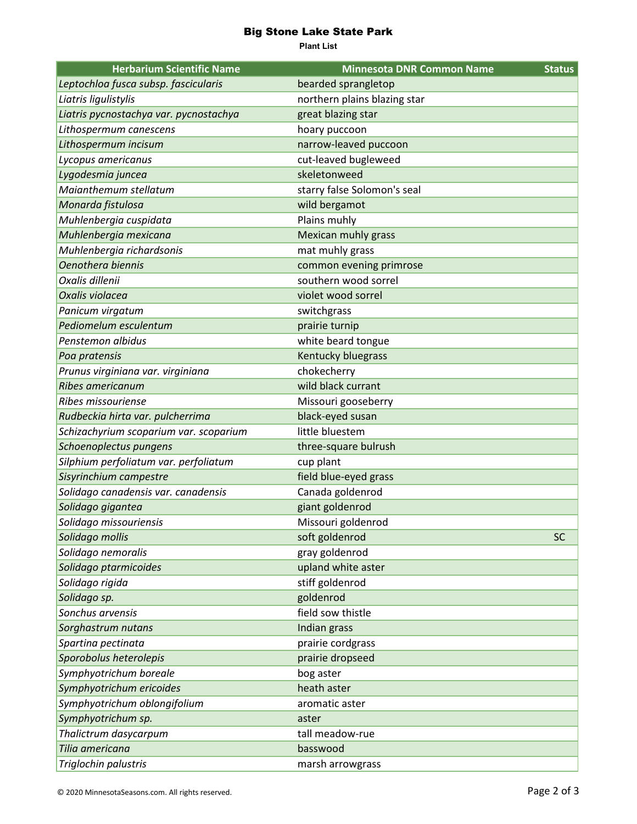## Big Stone Lake State Park

**Plant List**

| <b>Herbarium Scientific Name</b>       | <b>Minnesota DNR Common Name</b> | <b>Status</b> |
|----------------------------------------|----------------------------------|---------------|
| Leptochloa fusca subsp. fascicularis   | bearded sprangletop              |               |
| Liatris ligulistylis                   | northern plains blazing star     |               |
| Liatris pycnostachya var. pycnostachya | great blazing star               |               |
| Lithospermum canescens                 | hoary puccoon                    |               |
| Lithospermum incisum                   | narrow-leaved puccoon            |               |
| Lycopus americanus                     | cut-leaved bugleweed             |               |
| Lygodesmia juncea                      | skeletonweed                     |               |
| Maianthemum stellatum                  | starry false Solomon's seal      |               |
| Monarda fistulosa                      | wild bergamot                    |               |
| Muhlenbergia cuspidata                 | Plains muhly                     |               |
| Muhlenbergia mexicana                  | Mexican muhly grass              |               |
| Muhlenbergia richardsonis              | mat muhly grass                  |               |
| Oenothera biennis                      | common evening primrose          |               |
| Oxalis dillenii                        | southern wood sorrel             |               |
| Oxalis violacea                        | violet wood sorrel               |               |
| Panicum virgatum                       | switchgrass                      |               |
| Pediomelum esculentum                  | prairie turnip                   |               |
| Penstemon albidus                      | white beard tongue               |               |
| Poa pratensis                          | Kentucky bluegrass               |               |
| Prunus virginiana var. virginiana      | chokecherry                      |               |
| <b>Ribes americanum</b>                | wild black currant               |               |
| Ribes missouriense                     | Missouri gooseberry              |               |
| Rudbeckia hirta var. pulcherrima       | black-eyed susan                 |               |
| Schizachyrium scoparium var. scoparium | little bluestem                  |               |
| Schoenoplectus pungens                 | three-square bulrush             |               |
| Silphium perfoliatum var. perfoliatum  | cup plant                        |               |
| Sisyrinchium campestre                 | field blue-eyed grass            |               |
| Solidago canadensis var. canadensis    | Canada goldenrod                 |               |
| Solidago gigantea                      | giant goldenrod                  |               |
| Solidago missouriensis                 | Missouri goldenrod               |               |
| Solidago mollis                        | soft goldenrod                   | <b>SC</b>     |
| Solidago nemoralis                     | gray goldenrod                   |               |
| Solidago ptarmicoides                  | upland white aster               |               |
| Solidago rigida                        | stiff goldenrod                  |               |
| Solidago sp.                           | goldenrod                        |               |
| Sonchus arvensis                       | field sow thistle                |               |
| Sorghastrum nutans                     | Indian grass                     |               |
| Spartina pectinata                     | prairie cordgrass                |               |
| Sporobolus heterolepis                 | prairie dropseed                 |               |
| Symphyotrichum boreale                 | bog aster                        |               |
| Symphyotrichum ericoides               | heath aster                      |               |
| Symphyotrichum oblongifolium           | aromatic aster                   |               |
| Symphyotrichum sp.                     | aster                            |               |
| Thalictrum dasycarpum                  | tall meadow-rue                  |               |
| Tilia americana                        | basswood                         |               |
| Triglochin palustris                   | marsh arrowgrass                 |               |